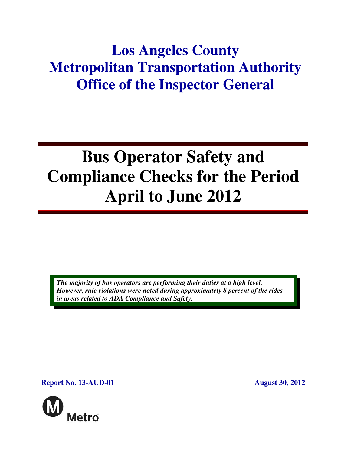## **Los Angeles County Metropolitan Transportation Authority Office of the Inspector General**

# **Bus Operator Safety and Compliance Checks for the Period April to June 2012**

*The majority of bus operators are performing their duties at a high level. However, rule violations were noted during approximately 8 percent of the rides in areas related to ADA Compliance and Safety.* 

**Report No. 13-AUD-01** August 30, 2012

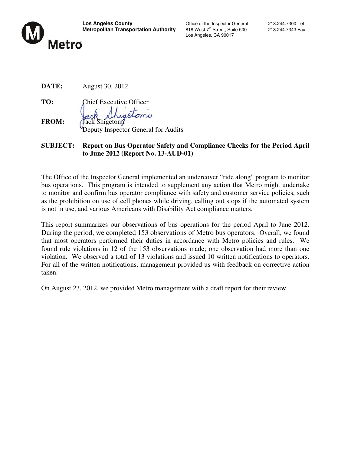

Los Angeles, CA 90017

**DATE:** August 30, 2012

**TO:** Chief Executive Officer

olomi **FROM:** Jack Shigetomi

Deputy Inspector General for Audits

#### **SUBJECT: Report on Bus Operator Safety and Compliance Checks for the Period April to June 2012 (Report No. 13-AUD-01)**

The Office of the Inspector General implemented an undercover "ride along" program to monitor bus operations. This program is intended to supplement any action that Metro might undertake to monitor and confirm bus operator compliance with safety and customer service policies, such as the prohibition on use of cell phones while driving, calling out stops if the automated system is not in use, and various Americans with Disability Act compliance matters.

This report summarizes our observations of bus operations for the period April to June 2012. During the period, we completed 153 observations of Metro bus operators. Overall, we found that most operators performed their duties in accordance with Metro policies and rules. We found rule violations in 12 of the 153 observations made; one observation had more than one violation. We observed a total of 13 violations and issued 10 written notifications to operators. For all of the written notifications, management provided us with feedback on corrective action taken.

On August 23, 2012, we provided Metro management with a draft report for their review.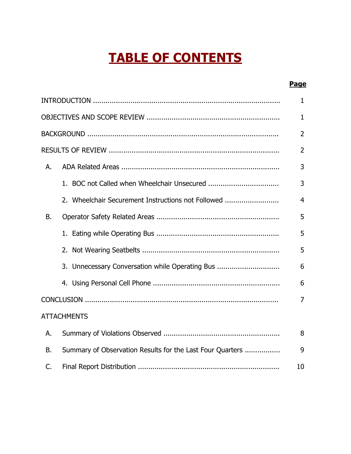## TABLE OF CONTENTS

#### Page

|                |                                                           | $\mathbf{1}$   |
|----------------|-----------------------------------------------------------|----------------|
|                |                                                           | $\mathbf{1}$   |
|                |                                                           | $\overline{2}$ |
|                |                                                           | $\overline{2}$ |
| А.             |                                                           | 3              |
|                |                                                           | 3              |
|                | 2. Wheelchair Securement Instructions not Followed        | $\overline{4}$ |
| В.             |                                                           | 5              |
|                |                                                           | 5              |
|                |                                                           | 5              |
|                | 3. Unnecessary Conversation while Operating Bus           | 6              |
|                |                                                           | 6              |
|                |                                                           | $\overline{7}$ |
|                | <b>ATTACHMENTS</b>                                        |                |
| А.             |                                                           | 8              |
| Β.             | Summary of Observation Results for the Last Four Quarters | 9              |
| $\mathsf{C}$ . |                                                           | 10             |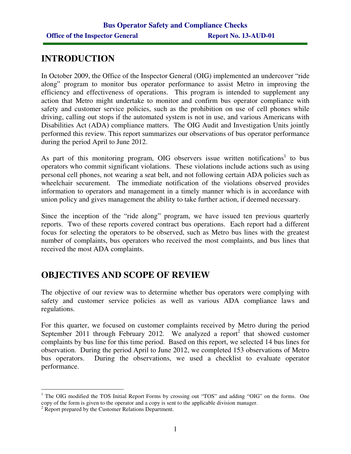### **INTRODUCTION**

In October 2009, the Office of the Inspector General (OIG) implemented an undercover "ride along" program to monitor bus operator performance to assist Metro in improving the efficiency and effectiveness of operations. This program is intended to supplement any action that Metro might undertake to monitor and confirm bus operator compliance with safety and customer service policies, such as the prohibition on use of cell phones while driving, calling out stops if the automated system is not in use, and various Americans with Disabilities Act (ADA) compliance matters. The OIG Audit and Investigation Units jointly performed this review. This report summarizes our observations of bus operator performance during the period April to June 2012.

As part of this monitoring program, OIG observers issue written notifications<sup>1</sup> to bus operators who commit significant violations. These violations include actions such as using personal cell phones, not wearing a seat belt, and not following certain ADA policies such as wheelchair securement. The immediate notification of the violations observed provides information to operators and management in a timely manner which is in accordance with union policy and gives management the ability to take further action, if deemed necessary.

Since the inception of the "ride along" program, we have issued ten previous quarterly reports. Two of these reports covered contract bus operations. Each report had a different focus for selecting the operators to be observed, such as Metro bus lines with the greatest number of complaints, bus operators who received the most complaints, and bus lines that received the most ADA complaints.

## **OBJECTIVES AND SCOPE OF REVIEW**

The objective of our review was to determine whether bus operators were complying with safety and customer service policies as well as various ADA compliance laws and regulations.

For this quarter, we focused on customer complaints received by Metro during the period September 2011 through February 2012. We analyzed a report<sup>2</sup> that showed customer complaints by bus line for this time period. Based on this report, we selected 14 bus lines for observation. During the period April to June 2012, we completed 153 observations of Metro bus operators. During the observations, we used a checklist to evaluate operator performance.

 $\overline{a}$ <sup>1</sup> The OIG modified the TOS Initial Report Forms by crossing out "TOS" and adding "OIG" on the forms. One copy of the form is given to the operator and a copy is sent to the applicable division manager.

<sup>&</sup>lt;sup>2</sup> Report prepared by the Customer Relations Department.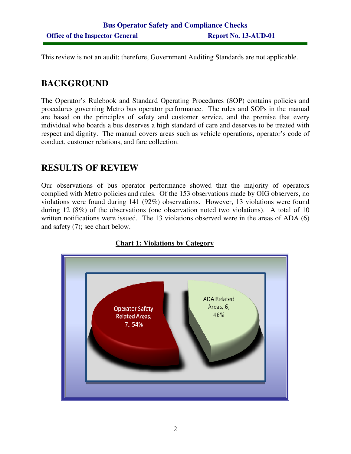This review is not an audit; therefore, Government Auditing Standards are not applicable.

## **BACKGROUND**

The Operator's Rulebook and Standard Operating Procedures (SOP) contains policies and procedures governing Metro bus operator performance. The rules and SOPs in the manual are based on the principles of safety and customer service, and the premise that every individual who boards a bus deserves a high standard of care and deserves to be treated with respect and dignity. The manual covers areas such as vehicle operations, operator's code of conduct, customer relations, and fare collection.

## **RESULTS OF REVIEW**

Our observations of bus operator performance showed that the majority of operators complied with Metro policies and rules. Of the 153 observations made by OIG observers, no violations were found during 141 (92%) observations. However, 13 violations were found during 12 (8%) of the observations (one observation noted two violations). A total of 10 written notifications were issued. The 13 violations observed were in the areas of ADA (6) and safety (7); see chart below.



#### **Chart 1: Violations by Category**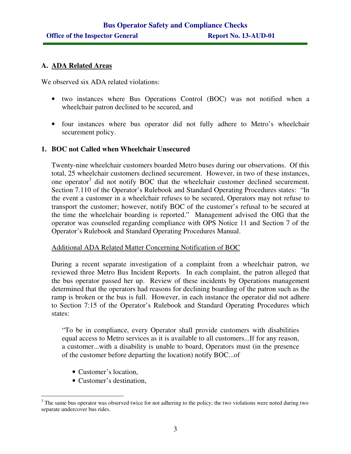#### **A. ADA Related Areas**

We observed six ADA related violations:

- two instances where Bus Operations Control (BOC) was not notified when a wheelchair patron declined to be secured, and
- four instances where bus operator did not fully adhere to Metro's wheelchair securement policy.

#### **1. BOC not Called when Wheelchair Unsecured**

Twenty-nine wheelchair customers boarded Metro buses during our observations. Of this total, 25 wheelchair customers declined securement. However, in two of these instances, one operator<sup>3</sup> did not notify BOC that the wheelchair customer declined securement. Section 7.110 of the Operator's Rulebook and Standard Operating Procedures states: "In the event a customer in a wheelchair refuses to be secured, Operators may not refuse to transport the customer; however, notify BOC of the customer's refusal to be secured at the time the wheelchair boarding is reported." Management advised the OIG that the operator was counseled regarding compliance with OPS Notice 11 and Section 7 of the Operator's Rulebook and Standard Operating Procedures Manual.

#### Additional ADA Related Matter Concerning Notification of BOC

During a recent separate investigation of a complaint from a wheelchair patron, we reviewed three Metro Bus Incident Reports. In each complaint, the patron alleged that the bus operator passed her up. Review of these incidents by Operations management determined that the operators had reasons for declining boarding of the patron such as the ramp is broken or the bus is full. However, in each instance the operator did not adhere to Section 7:15 of the Operator's Rulebook and Standard Operating Procedures which states:

"To be in compliance, every Operator shall provide customers with disabilities equal access to Metro services as it is available to all customers...If for any reason, a customer...with a disability is unable to board, Operators must (in the presence of the customer before departing the location) notify BOC...of

- Customer's location,
- Customer's destination,

<sup>&</sup>lt;sup>3</sup> The same bus operator was observed twice for not adhering to the policy; the two violations were noted during two separate undercover bus rides.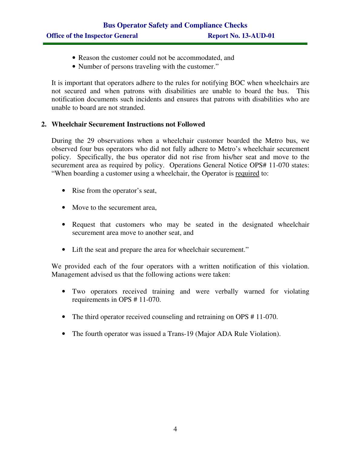- Reason the customer could not be accommodated, and
- Number of persons traveling with the customer."

It is important that operators adhere to the rules for notifying BOC when wheelchairs are not secured and when patrons with disabilities are unable to board the bus. This notification documents such incidents and ensures that patrons with disabilities who are unable to board are not stranded.

#### **2. Wheelchair Securement Instructions not Followed**

During the 29 observations when a wheelchair customer boarded the Metro bus, we observed four bus operators who did not fully adhere to Metro's wheelchair securement policy. Specifically, the bus operator did not rise from his/her seat and move to the securement area as required by policy. Operations General Notice OPS# 11-070 states: "When boarding a customer using a wheelchair, the Operator is required to:

- Rise from the operator's seat,
- Move to the securement area,
- Request that customers who may be seated in the designated wheelchair securement area move to another seat, and
- Lift the seat and prepare the area for wheelchair securement."

We provided each of the four operators with a written notification of this violation. Management advised us that the following actions were taken:

- Two operators received training and were verbally warned for violating requirements in OPS # 11-070.
- The third operator received counseling and retraining on OPS #11-070.
- The fourth operator was issued a Trans-19 (Major ADA Rule Violation).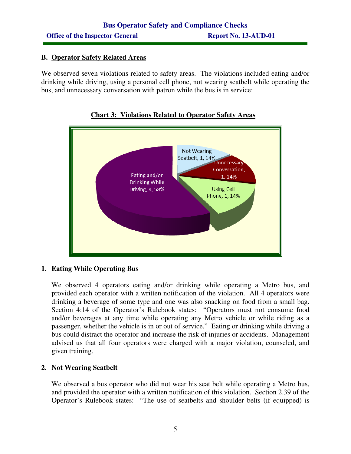#### **B. Operator Safety Related Areas**

We observed seven violations related to safety areas. The violations included eating and/or drinking while driving, using a personal cell phone, not wearing seatbelt while operating the bus, and unnecessary conversation with patron while the bus is in service:



#### **Chart 3: Violations Related to Operator Safety Areas**

#### **1. Eating While Operating Bus**

We observed 4 operators eating and/or drinking while operating a Metro bus, and provided each operator with a written notification of the violation. All 4 operators were drinking a beverage of some type and one was also snacking on food from a small bag. Section 4:14 of the Operator's Rulebook states: "Operators must not consume food and/or beverages at any time while operating any Metro vehicle or while riding as a passenger, whether the vehicle is in or out of service." Eating or drinking while driving a bus could distract the operator and increase the risk of injuries or accidents. Management advised us that all four operators were charged with a major violation, counseled, and given training.

#### **2. Not Wearing Seatbelt**

We observed a bus operator who did not wear his seat belt while operating a Metro bus, and provided the operator with a written notification of this violation. Section 2.39 of the Operator's Rulebook states: "The use of seatbelts and shoulder belts (if equipped) is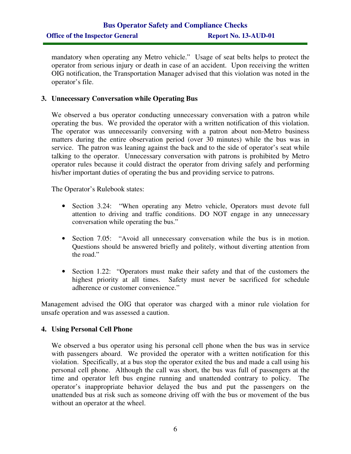## **Bus Operator Safety and Compliance Checks Office of the Inspector General Report No. 13-AUD-01**

mandatory when operating any Metro vehicle." Usage of seat belts helps to protect the operator from serious injury or death in case of an accident. Upon receiving the written OIG notification, the Transportation Manager advised that this violation was noted in the operator's file.

#### **3. Unnecessary Conversation while Operating Bus**

We observed a bus operator conducting unnecessary conversation with a patron while operating the bus. We provided the operator with a written notification of this violation. The operator was unnecessarily conversing with a patron about non-Metro business matters during the entire observation period (over 30 minutes) while the bus was in service. The patron was leaning against the back and to the side of operator's seat while talking to the operator. Unnecessary conversation with patrons is prohibited by Metro operator rules because it could distract the operator from driving safely and performing his/her important duties of operating the bus and providing service to patrons.

The Operator's Rulebook states:

- Section 3.24: "When operating any Metro vehicle, Operators must devote full attention to driving and traffic conditions. DO NOT engage in any unnecessary conversation while operating the bus."
- Section 7.05: "Avoid all unnecessary conversation while the bus is in motion. Questions should be answered briefly and politely, without diverting attention from the road."
- Section 1.22: "Operators must make their safety and that of the customers the highest priority at all times. Safety must never be sacrificed for schedule adherence or customer convenience."

Management advised the OIG that operator was charged with a minor rule violation for unsafe operation and was assessed a caution.

#### **4. Using Personal Cell Phone**

We observed a bus operator using his personal cell phone when the bus was in service with passengers aboard. We provided the operator with a written notification for this violation. Specifically, at a bus stop the operator exited the bus and made a call using his personal cell phone. Although the call was short, the bus was full of passengers at the time and operator left bus engine running and unattended contrary to policy. The operator's inappropriate behavior delayed the bus and put the passengers on the unattended bus at risk such as someone driving off with the bus or movement of the bus without an operator at the wheel.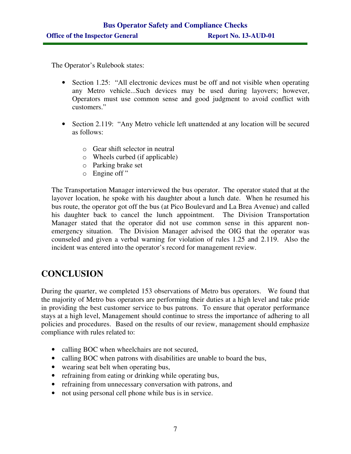The Operator's Rulebook states:

- Section 1.25: "All electronic devices must be off and not visible when operating any Metro vehicle...Such devices may be used during layovers; however, Operators must use common sense and good judgment to avoid conflict with customers."
- Section 2.119: "Any Metro vehicle left unattended at any location will be secured as follows:
	- o Gear shift selector in neutral
	- o Wheels curbed (if applicable)
	- o Parking brake set
	- o Engine off "

The Transportation Manager interviewed the bus operator. The operator stated that at the layover location, he spoke with his daughter about a lunch date. When he resumed his bus route, the operator got off the bus (at Pico Boulevard and La Brea Avenue) and called his daughter back to cancel the lunch appointment. The Division Transportation Manager stated that the operator did not use common sense in this apparent nonemergency situation. The Division Manager advised the OIG that the operator was counseled and given a verbal warning for violation of rules 1.25 and 2.119. Also the incident was entered into the operator's record for management review.

## **CONCLUSION**

During the quarter, we completed 153 observations of Metro bus operators. We found that the majority of Metro bus operators are performing their duties at a high level and take pride in providing the best customer service to bus patrons. To ensure that operator performance stays at a high level, Management should continue to stress the importance of adhering to all policies and procedures. Based on the results of our review, management should emphasize compliance with rules related to:

- calling BOC when wheelchairs are not secured,
- calling BOC when patrons with disabilities are unable to board the bus,
- wearing seat belt when operating bus,
- refraining from eating or drinking while operating bus,
- refraining from unnecessary conversation with patrons, and
- not using personal cell phone while bus is in service.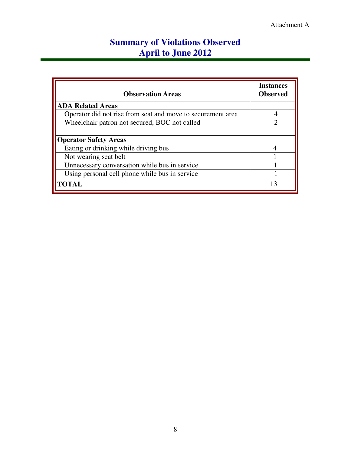## **Summary of Violations Observed April to June 2012**

| <b>Observation Areas</b>                                    | <b>Instances</b><br><b>Observed</b> |
|-------------------------------------------------------------|-------------------------------------|
| <b>ADA Related Areas</b>                                    |                                     |
| Operator did not rise from seat and move to securement area |                                     |
| Wheelchair patron not secured, BOC not called               | っ                                   |
|                                                             |                                     |
| <b>Operator Safety Areas</b>                                |                                     |
| Eating or drinking while driving bus                        | 4                                   |
| Not wearing seat belt                                       |                                     |
| Unnecessary conversation while bus in service               |                                     |
| Using personal cell phone while bus in service              |                                     |
| <b>TOTAL</b>                                                |                                     |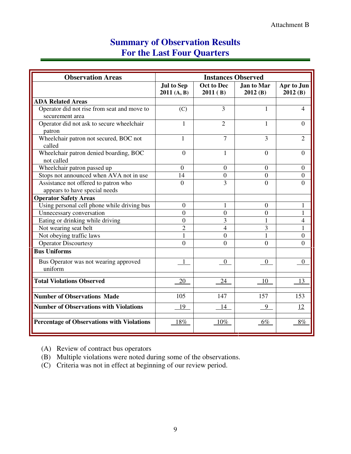## **Summary of Observation Results For the Last Four Quarters**

| <b>Observation Areas</b>                                       | <b>Instances Observed</b>        |                       |                              |                       |
|----------------------------------------------------------------|----------------------------------|-----------------------|------------------------------|-----------------------|
|                                                                | <b>Jul to Sep</b><br>2011 (A, B) | Oct to Dec<br>2011(B) | <b>Jan to Mar</b><br>2012(B) | Apr to Jun<br>2012(B) |
| <b>ADA Related Areas</b>                                       |                                  |                       |                              |                       |
| Operator did not rise from seat and move to<br>securement area | (C)                              | 3                     | 1                            | 4                     |
| Operator did not ask to secure wheelchair<br>patron            | 1                                | $\overline{2}$        | 1                            | $\Omega$              |
| Wheelchair patron not secured, BOC not<br>called               | 1                                | $\overline{7}$        | 3                            | $\overline{2}$        |
| Wheelchair patron denied boarding, BOC<br>not called           | $\overline{0}$                   | 1                     | $\mathbf{0}$                 | $\overline{0}$        |
| Wheelchair patron passed up                                    | $\overline{0}$                   | $\overline{0}$        | $\overline{0}$               | $\overline{0}$        |
| Stops not announced when AVA not in use                        | 14                               | $\overline{0}$        | $\overline{0}$               | $\overline{0}$        |
| Assistance not offered to patron who                           | $\theta$                         | 3                     | $\overline{0}$               | $\Omega$              |
| appears to have special needs                                  |                                  |                       |                              |                       |
| <b>Operator Safety Areas</b>                                   |                                  |                       |                              |                       |
| Using personal cell phone while driving bus                    | $\overline{0}$                   | 1                     | $\theta$                     | 1                     |
| Unnecessary conversation                                       | $\overline{0}$                   | $\overline{0}$        | $\overline{0}$               | 1                     |
| Eating or drinking while driving                               | $\overline{0}$                   | 3                     | 1                            | 4                     |
| Not wearing seat belt                                          | $\overline{2}$                   | $\overline{4}$        | 3                            | 1                     |
| Not obeying traffic laws                                       | $\mathbf{1}$                     | $\theta$              | $\mathbf{1}$                 | $\overline{0}$        |
| <b>Operator Discourtesy</b>                                    | $\theta$                         | $\theta$              | $\theta$                     | $\Omega$              |
| <b>Bus Uniforms</b>                                            |                                  |                       |                              |                       |
| Bus Operator was not wearing approved<br>uniform               | 1                                | $\mathbf{0}$          | $\overline{0}$               | $\overline{0}$        |
| <b>Total Violations Observed</b>                               | 20                               | 24                    | 10                           | 13                    |
| <b>Number of Observations Made</b>                             | 105                              | 147                   | 157                          | 153                   |
| <b>Number of Observations with Violations</b>                  | 19                               | 14                    | 9                            | 12                    |
| <b>Percentage of Observations with Violations</b>              | 18%                              | $10\%$                | $6\%$                        | 8%                    |

(A) Review of contract bus operators

(B) Multiple violations were noted during some of the observations.

(C) Criteria was not in effect at beginning of our review period.